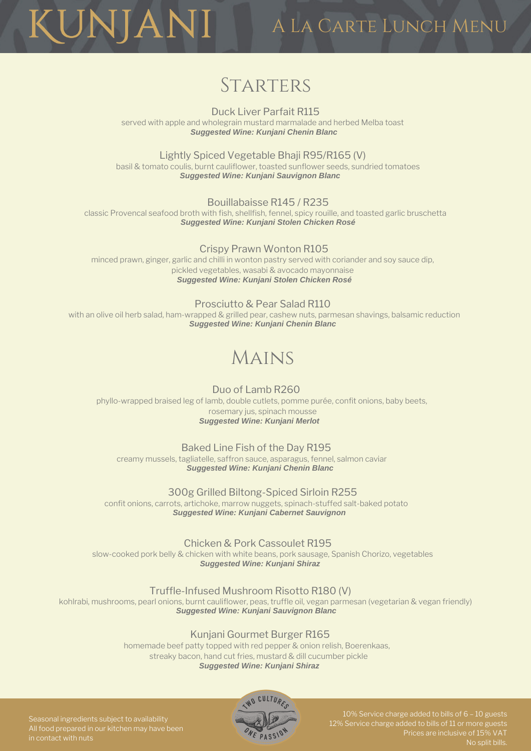A La Carte Lunch Menu

## **STARTERS**

UNJANI

Duck Liver Parfait R115 served with apple and wholegrain mustard marmalade and herbed Melba toast *Suggested Wine: Kunjani Chenin Blanc*

Lightly Spiced Vegetable Bhaji R95/R165 (V) basil & tomato coulis, burnt cauliflower, toasted sunflower seeds, sundried tomatoes *Suggested Wine: Kunjani Sauvignon Blanc*

Bouillabaisse R145 / R235 classic Provencal seafood broth with fish, shellfish, fennel, spicy rouille, and toasted garlic bruschetta *Suggested Wine: Kunjani Stolen Chicken Rosé*

Crispy Prawn Wonton R105 minced prawn, ginger, garlic and chilli in wonton pastry served with coriander and soy sauce dip, pickled vegetables, wasabi & avocado mayonnaise *Suggested Wine: Kunjani Stolen Chicken Rosé*

Prosciutto & Pear Salad R110 with an olive oil herb salad, ham-wrapped & grilled pear, cashew nuts, parmesan shavings, balsamic reduction *Suggested Wine: Kunjani Chenin Blanc*

# Mains

Duo of Lamb R260 phyllo-wrapped braised leg of lamb, double cutlets, pomme purée, confit onions, baby beets, rosemary jus, spinach mousse *Suggested Wine: Kunjani Merlot*

Baked Line Fish of the Day R195 creamy mussels, tagliatelle, saffron sauce, asparagus, fennel, salmon caviar *Suggested Wine: Kunjani Chenin Blanc*

300g Grilled Biltong-Spiced Sirloin R255 confit onions, carrots, artichoke, marrow nuggets, spinach-stuffed salt-baked potato *Suggested Wine: Kunjani Cabernet Sauvignon*

Chicken & Pork Cassoulet R195 slow-cooked pork belly & chicken with white beans, pork sausage, Spanish Chorizo, vegetables *Suggested Wine: Kunjani Shiraz*

Truffle-Infused Mushroom Risotto R180 (V)

kohlrabi, mushrooms, pearl onions, burnt cauliflower, peas, truffle oil, vegan parmesan (vegetarian & vegan friendly) *Suggested Wine: Kunjani Sauvignon Blanc*

#### Kunjani Gourmet Burger R165

homemade beef patty topped with red pepper & onion relish, Boerenkaas, streaky bacon, hand cut fries, mustard & dill cucumber pickle *Suggested Wine: Kunjani Shiraz*



Seasonal ingredients subject to availability All food prepared in our kitchen may have been in contact with nuts

10% Service charge added to bills of 6 – 10 guests 12% Service charge added to bills of 11 or more guests